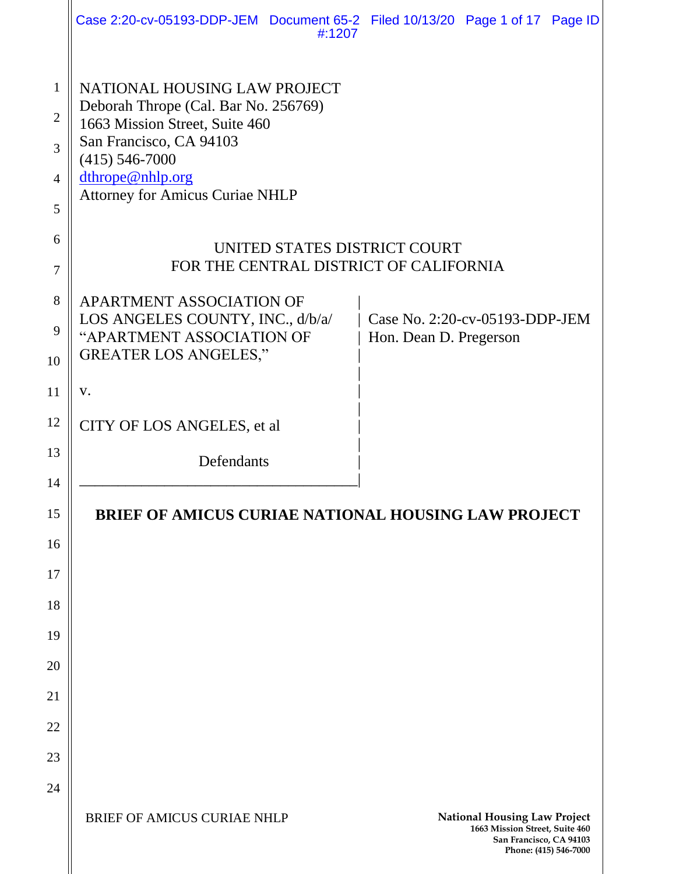|                                                          | Case 2:20-cv-05193-DDP-JEM Document 65-2 Filed 10/13/20 Page 1 of 17 Page ID<br>#:1207                                            |                                                          |                                                                                                  |                       |
|----------------------------------------------------------|-----------------------------------------------------------------------------------------------------------------------------------|----------------------------------------------------------|--------------------------------------------------------------------------------------------------|-----------------------|
| $\mathbf{1}$<br>$\overline{2}$<br>3                      | NATIONAL HOUSING LAW PROJECT<br>Deborah Thrope (Cal. Bar No. 256769)<br>1663 Mission Street, Suite 460<br>San Francisco, CA 94103 |                                                          |                                                                                                  |                       |
| $\overline{4}$<br>5                                      | $(415) 546 - 7000$<br>dthrope@nhlp.org<br><b>Attorney for Amicus Curiae NHLP</b>                                                  |                                                          |                                                                                                  |                       |
| 6<br>7                                                   | UNITED STATES DISTRICT COURT<br>FOR THE CENTRAL DISTRICT OF CALIFORNIA                                                            |                                                          |                                                                                                  |                       |
| 8<br>9<br>10                                             | APARTMENT ASSOCIATION OF<br>LOS ANGELES COUNTY, INC., d/b/a/<br>"APARTMENT ASSOCIATION OF<br><b>GREATER LOS ANGELES,"</b>         | Case No. 2:20-cv-05193-DDP-JEM<br>Hon. Dean D. Pregerson |                                                                                                  |                       |
| 11                                                       | V.                                                                                                                                |                                                          |                                                                                                  |                       |
| 12                                                       | CITY OF LOS ANGELES, et al.                                                                                                       |                                                          |                                                                                                  |                       |
| 13                                                       | Defendants                                                                                                                        |                                                          |                                                                                                  |                       |
| 14<br>15<br>16<br>17<br>18<br>19<br>20<br>21<br>22<br>23 | <b>BRIEF OF AMICUS CURIAE NATIONAL HOUSING LAW PROJECT</b>                                                                        |                                                          |                                                                                                  |                       |
| 24                                                       | <b>BRIEF OF AMICUS CURIAE NHLP</b>                                                                                                |                                                          | <b>National Housing Law Project</b><br>1663 Mission Street, Suite 460<br>San Francisco, CA 94103 | Phone: (415) 546-7000 |

 $\overline{\phantom{a}}$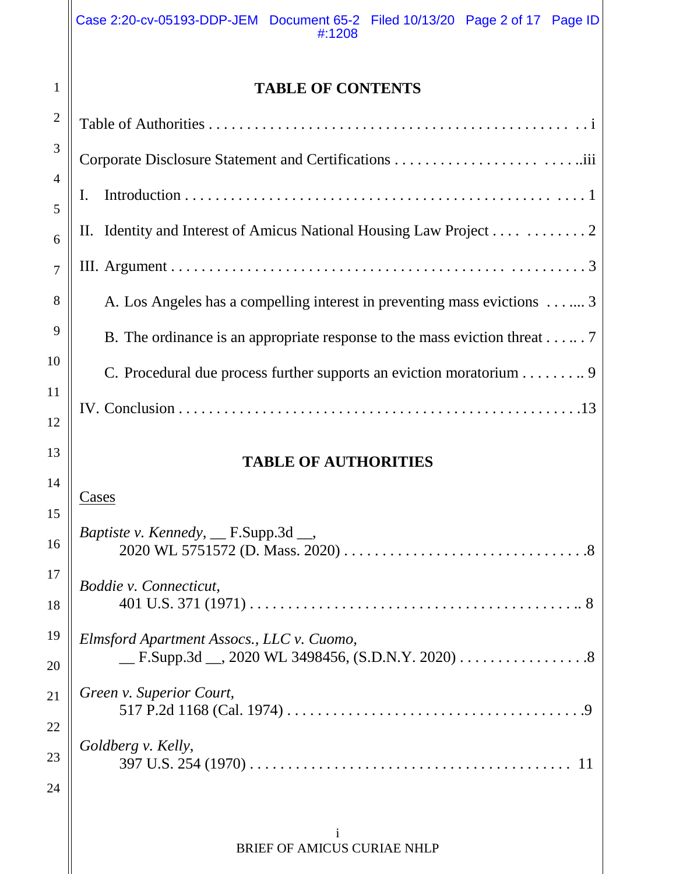# **TABLE OF CONTENTS**

1

| $\mathbf{2}$        |                                                                           |
|---------------------|---------------------------------------------------------------------------|
| 3                   |                                                                           |
| $\overline{4}$<br>5 | Ι.                                                                        |
| 6                   | II. Identity and Interest of Amicus National Housing Law Project 2        |
| $\overline{7}$      |                                                                           |
| 8                   | A. Los Angeles has a compelling interest in preventing mass evictions 3   |
| 9                   | B. The ordinance is an appropriate response to the mass eviction threat 7 |
| 10                  | C. Procedural due process further supports an eviction moratorium 9       |
| 11                  |                                                                           |
| 12<br>13            |                                                                           |
|                     |                                                                           |
|                     | <b>TABLE OF AUTHORITIES</b>                                               |
| 14                  | Cases                                                                     |
| 15<br>16            | <i>Baptiste v. Kennedy</i> , $\_\$ F.Supp.3d $\_\_$ ,                     |
| 17                  |                                                                           |
| 18                  | Boddie v. Connecticut,                                                    |
| 19                  | Elmsford Apartment Assocs., LLC v. Cuomo,                                 |
| 20                  |                                                                           |
| 21                  | Green v. Superior Court,                                                  |
| 22                  |                                                                           |
| 23                  | Goldberg v. Kelly,                                                        |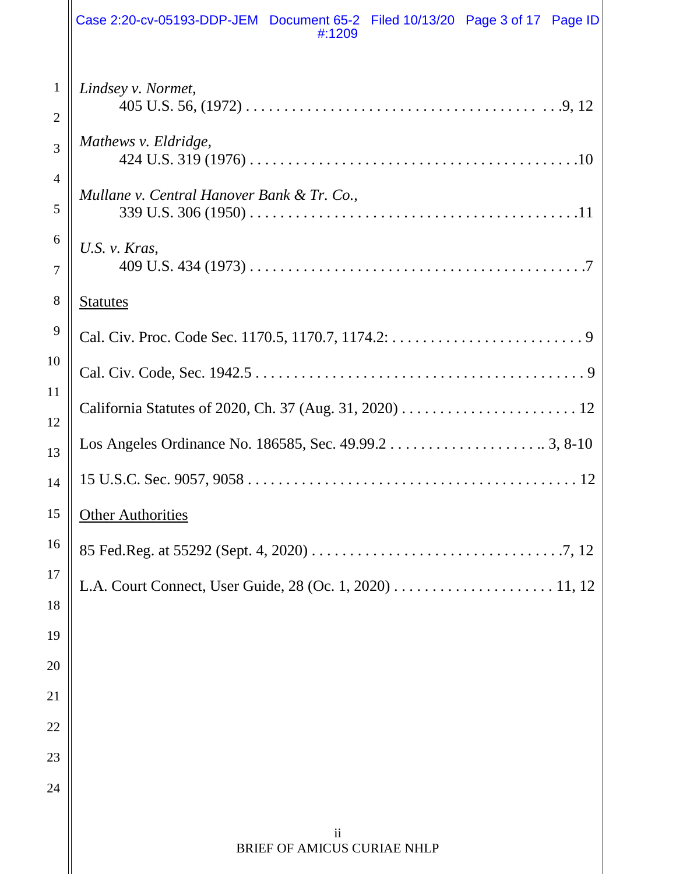|                                | Case 2:20-cv-05193-DDP-JEM Document 65-2 Filed 10/13/20 Page 3 of 17 Page ID<br>#:1209 |
|--------------------------------|----------------------------------------------------------------------------------------|
| $\mathbf{1}$<br>$\overline{2}$ | Lindsey v. Normet,                                                                     |
| 3                              | Mathews v. Eldridge,                                                                   |
| $\overline{4}$<br>5            | Mullane v. Central Hanover Bank & Tr. Co.,                                             |
| 6<br>7                         | U.S. $v$ . Kras.                                                                       |
| 8                              | <b>Statutes</b>                                                                        |
| 9                              |                                                                                        |
| 10                             |                                                                                        |
| 11                             |                                                                                        |
| 12<br>13                       |                                                                                        |
| 14                             |                                                                                        |
| 15                             | <b>Other Authorities</b>                                                               |
| 16                             |                                                                                        |
| 17                             |                                                                                        |
| 18                             |                                                                                        |
| 19                             |                                                                                        |
| 20                             |                                                                                        |
| 21                             |                                                                                        |
| 22                             |                                                                                        |
| 23<br>24                       |                                                                                        |
|                                |                                                                                        |
|                                | $\mathbf{ii}$<br>BRIEF OF AMICUS CURIAE NHLP                                           |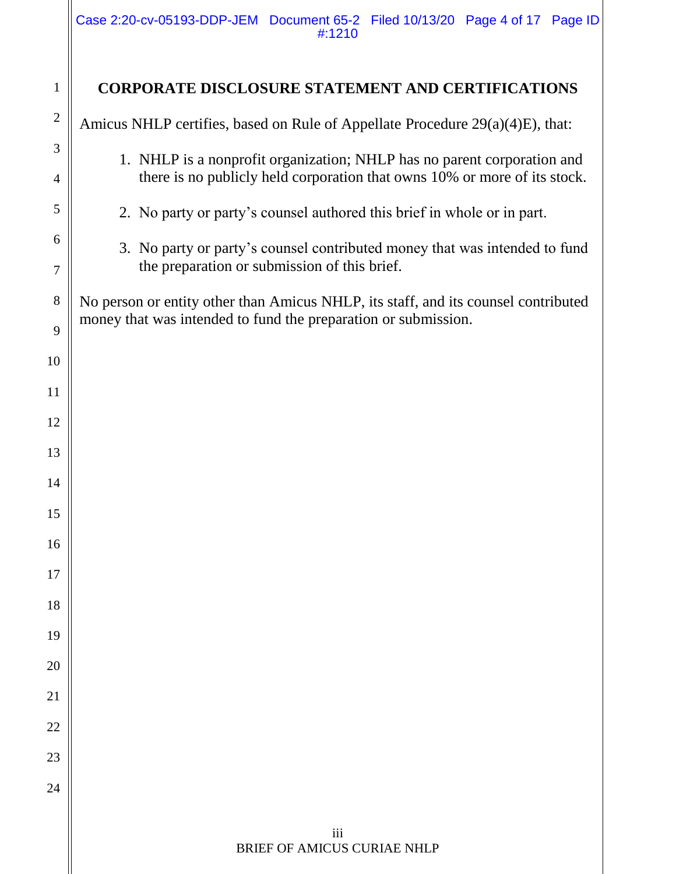Case 2:20-cv-05193-DDP-JEM Document 65-2 Filed 10/13/20 Page 4 of 17 Page ID #:1210

| $\mathbf{1}$        | <b>CORPORATE DISCLOSURE STATEMENT AND CERTIFICATIONS</b>                                                                                             |
|---------------------|------------------------------------------------------------------------------------------------------------------------------------------------------|
| $\overline{2}$      | Amicus NHLP certifies, based on Rule of Appellate Procedure 29(a)(4)E), that:                                                                        |
| 3<br>$\overline{4}$ | 1. NHLP is a nonprofit organization; NHLP has no parent corporation and<br>there is no publicly held corporation that owns 10% or more of its stock. |
| 5                   | 2. No party or party's counsel authored this brief in whole or in part.                                                                              |
| 6<br>7              | 3. No party or party's counsel contributed money that was intended to fund<br>the preparation or submission of this brief.                           |
| 8<br>9              | No person or entity other than Amicus NHLP, its staff, and its counsel contributed<br>money that was intended to fund the preparation or submission. |
| 10                  |                                                                                                                                                      |
| 11                  |                                                                                                                                                      |
| 12                  |                                                                                                                                                      |
| 13                  |                                                                                                                                                      |
| 14                  |                                                                                                                                                      |
| 15                  |                                                                                                                                                      |
| 16                  |                                                                                                                                                      |
| 17                  |                                                                                                                                                      |
| 18                  |                                                                                                                                                      |
| 19                  |                                                                                                                                                      |
| 20                  |                                                                                                                                                      |
| 21                  |                                                                                                                                                      |
| 22                  |                                                                                                                                                      |
| 23                  |                                                                                                                                                      |
| 24                  |                                                                                                                                                      |
|                     | iii<br>BRIEF OF AMICUS CURIAE NHLP                                                                                                                   |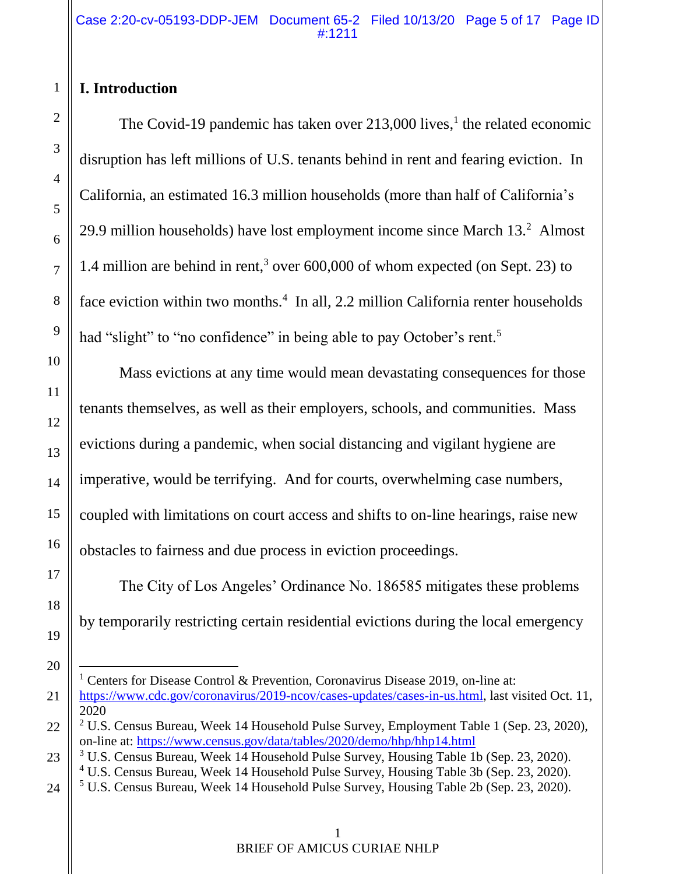# **I. Introduction**

1

The Covid-19 pandemic has taken over 213,000 lives,<sup>1</sup> the related economic disruption has left millions of U.S. tenants behind in rent and fearing eviction. In California, an estimated 16.3 million households (more than half of California's 29.9 million households) have lost employment income since March 13.<sup>2</sup> Almost 1.4 million are behind in rent,<sup>3</sup> over 600,000 of whom expected (on Sept. 23) to face eviction within two months.<sup>4</sup> In all, 2.2 million California renter households had "slight" to "no confidence" in being able to pay October's rent.<sup>5</sup>

Mass evictions at any time would mean devastating consequences for those tenants themselves, as well as their employers, schools, and communities. Mass evictions during a pandemic, when social distancing and vigilant hygiene are imperative, would be terrifying. And for courts, overwhelming case numbers, coupled with limitations on court access and shifts to on-line hearings, raise new obstacles to fairness and due process in eviction proceedings.

The City of Los Angeles' Ordinance No. 186585 mitigates these problems by temporarily restricting certain residential evictions during the local emergency

 $\overline{a}$ <sup>1</sup> Centers for Disease Control & Prevention, Coronavirus Disease 2019, on-line at:

[https://www.cdc.gov/coronavirus/2019-ncov/cases-updates/cases-in-us.html,](https://www.cdc.gov/coronavirus/2019-ncov/cases-updates/cases-in-us.html) last visited Oct. 11, 2020

<sup>&</sup>lt;sup>2</sup> U.S. Census Bureau, Week 14 Household Pulse Survey, Employment Table 1 (Sep. 23, 2020), on-line at:<https://www.census.gov/data/tables/2020/demo/hhp/hhp14.html>

<sup>3</sup> U.S. Census Bureau, Week 14 Household Pulse Survey, Housing Table 1b (Sep. 23, 2020).

<sup>4</sup> U.S. Census Bureau, Week 14 Household Pulse Survey, Housing Table 3b (Sep. 23, 2020).

<sup>5</sup> U.S. Census Bureau, Week 14 Household Pulse Survey, Housing Table 2b (Sep. 23, 2020).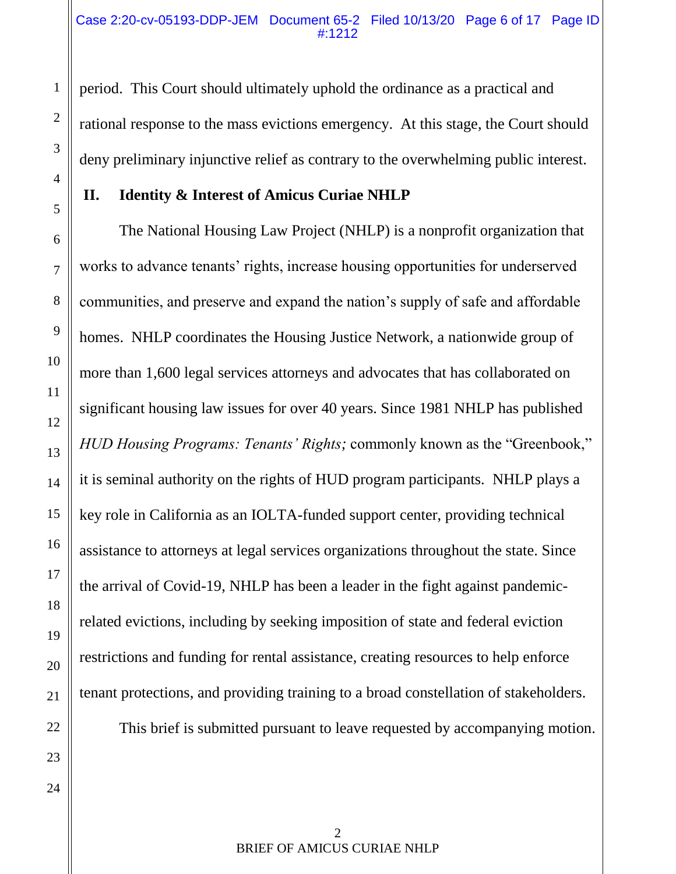period. This Court should ultimately uphold the ordinance as a practical and rational response to the mass evictions emergency. At this stage, the Court should deny preliminary injunctive relief as contrary to the overwhelming public interest.

### **II. Identity & Interest of Amicus Curiae NHLP**

The National Housing Law Project (NHLP) is a nonprofit organization that works to advance tenants' rights, increase housing opportunities for underserved communities, and preserve and expand the nation's supply of safe and affordable homes. NHLP coordinates the Housing Justice Network, a nationwide group of more than 1,600 legal services attorneys and advocates that has collaborated on significant housing law issues for over 40 years. Since 1981 NHLP has published *HUD Housing Programs: Tenants' Rights;* commonly known as the "Greenbook," it is seminal authority on the rights of HUD program participants. NHLP plays a key role in California as an IOLTA-funded support center, providing technical assistance to attorneys at legal services organizations throughout the state. Since the arrival of Covid-19, NHLP has been a leader in the fight against pandemicrelated evictions, including by seeking imposition of state and federal eviction restrictions and funding for rental assistance, creating resources to help enforce tenant protections, and providing training to a broad constellation of stakeholders.

This brief is submitted pursuant to leave requested by accompanying motion.

1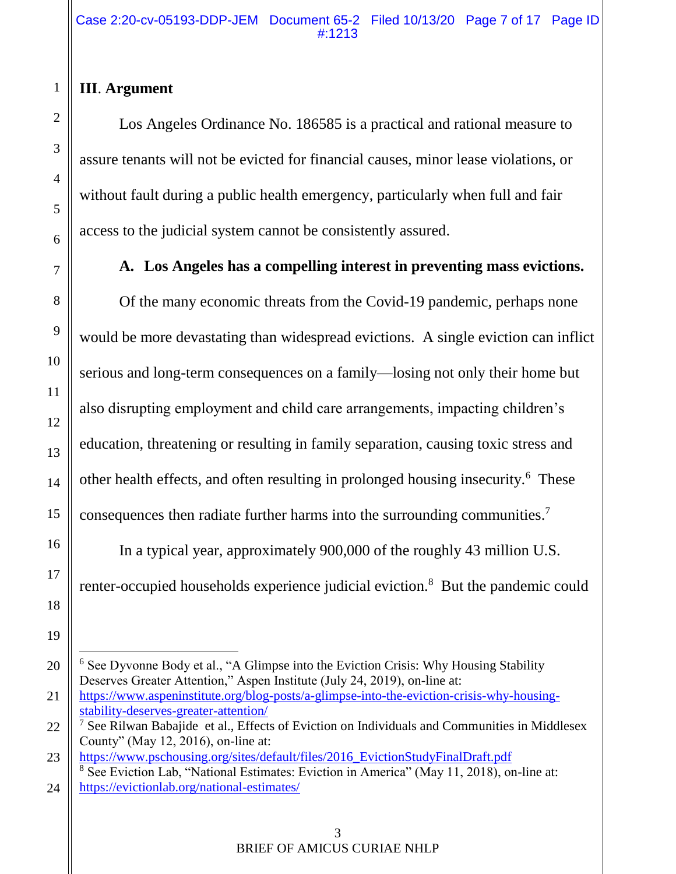# **III**. **Argument**

Los Angeles Ordinance No. 186585 is a practical and rational measure to assure tenants will not be evicted for financial causes, minor lease violations, or without fault during a public health emergency, particularly when full and fair access to the judicial system cannot be consistently assured.

# **A. Los Angeles has a compelling interest in preventing mass evictions.**

Of the many economic threats from the Covid-19 pandemic, perhaps none would be more devastating than widespread evictions. A single eviction can inflict serious and long-term consequences on a family—losing not only their home but also disrupting employment and child care arrangements, impacting children's education, threatening or resulting in family separation, causing toxic stress and other health effects, and often resulting in prolonged housing insecurity.<sup>6</sup> These consequences then radiate further harms into the surrounding communities.<sup>7</sup>

In a typical year, approximately 900,000 of the roughly 43 million U.S. renter-occupied households experience judicial eviction.<sup>8</sup> But the pandemic could

 $\overline{a}$ <sup>6</sup> See Dyvonne Body et al., "A Glimpse into the Eviction Crisis: Why Housing Stability Deserves Greater Attention," Aspen Institute (July 24, 2019), on-line at:

[https://www.aspeninstitute.org/blog-posts/a-glimpse-into-the-eviction-crisis-why-housing](https://www.aspeninstitute.org/blog-posts/a-glimpse-into-the-eviction-crisis-why-housing-stability-deserves-greater-attention/)[stability-deserves-greater-attention/](https://www.aspeninstitute.org/blog-posts/a-glimpse-into-the-eviction-crisis-why-housing-stability-deserves-greater-attention/)

 $\frac{7}{7}$  See Rilwan Babajide et al., Effects of Eviction on Individuals and Communities in Middlesex County" (May 12, 2016), on-line at:

[https://www.pschousing.org/sites/default/files/2016\\_EvictionStudyFinalDraft.pdf](https://www.pschousing.org/sites/default/files/2016_EvictionStudyFinalDraft.pdf) <sup>8</sup> See Eviction Lab, "National Estimates: Eviction in America" (May 11, 2018), on-line at: <https://evictionlab.org/national-estimates/>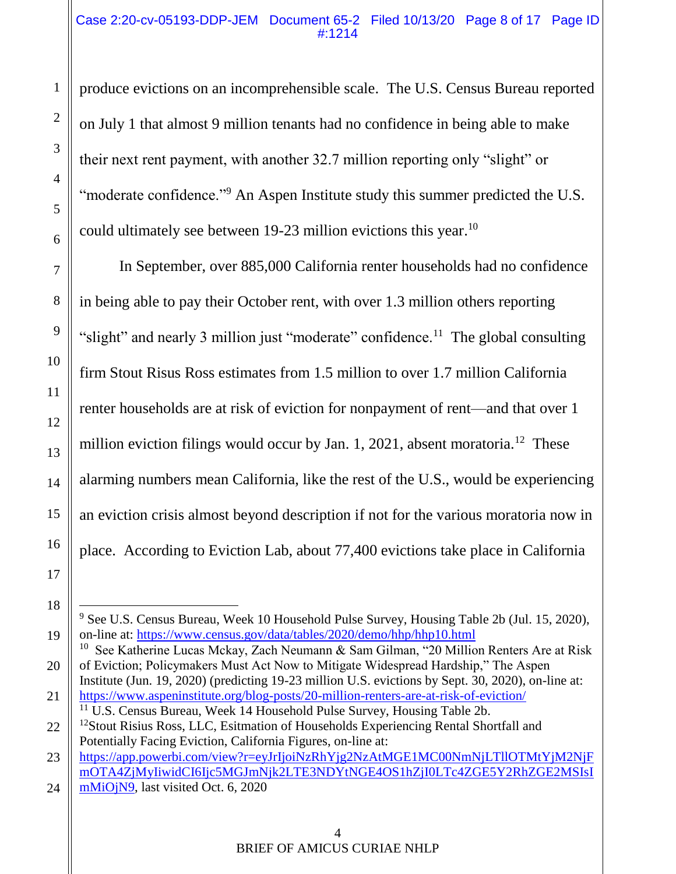#### Case 2:20-cv-05193-DDP-JEM Document 65-2 Filed 10/13/20 Page 8 of 17 Page ID #:1214

produce evictions on an incomprehensible scale. The U.S. Census Bureau reported on July 1 that almost 9 million tenants had no confidence in being able to make their next rent payment, with another 32.7 million reporting only "slight" or "moderate confidence."<sup>9</sup> An Aspen Institute study this summer predicted the U.S. could ultimately see between 19-23 million evictions this year.<sup>10</sup>

In September, over 885,000 California renter households had no confidence in being able to pay their October rent, with over 1.3 million others reporting "slight" and nearly 3 million just "moderate" confidence.<sup>11</sup> The global consulting firm Stout Risus Ross estimates from 1.5 million to over 1.7 million California renter households are at risk of eviction for nonpayment of rent—and that over 1 million eviction filings would occur by Jan. 1, 2021, absent moratoria.<sup>12</sup> These alarming numbers mean California, like the rest of the U.S., would be experiencing an eviction crisis almost beyond description if not for the various moratoria now in place. According to Eviction Lab, about 77,400 evictions take place in California

 $\overline{a}$ <sup>9</sup> See U.S. Census Bureau, Week 10 Household Pulse Survey, Housing Table 2b (Jul. 15, 2020), on-line at:<https://www.census.gov/data/tables/2020/demo/hhp/hhp10.html>

<sup>&</sup>lt;sup>10</sup> See Katherine Lucas Mckay, Zach Neumann & Sam Gilman, "20 Million Renters Are at Risk of Eviction; Policymakers Must Act Now to Mitigate Widespread Hardship," The Aspen

Institute (Jun. 19, 2020) (predicting 19-23 million U.S. evictions by Sept. 30, 2020), on-line at: <https://www.aspeninstitute.org/blog-posts/20-million-renters-are-at-risk-of-eviction/>  $11$  U.S. Census Bureau, Week 14 Household Pulse Survey, Housing Table 2b.

<sup>&</sup>lt;sup>12</sup>Stout Risius Ross, LLC, Esitmation of Households Experiencing Rental Shortfall and Potentially Facing Eviction, California Figures, on-line at:

[https://app.powerbi.com/view?r=eyJrIjoiNzRhYjg2NzAtMGE1MC00NmNjLTllOTMtYjM2NjF](https://app.powerbi.com/view?r=eyJrIjoiNzRhYjg2NzAtMGE1MC00NmNjLTllOTMtYjM2NjFmOTA4ZjMyIiwidCI6Ijc5MGJmNjk2LTE3NDYtNGE4OS1hZjI0LTc4ZGE5Y2RhZGE2MSIsImMiOjN9) [mOTA4ZjMyIiwidCI6Ijc5MGJmNjk2LTE3NDYtNGE4OS1hZjI0LTc4ZGE5Y2RhZGE2MSIsI](https://app.powerbi.com/view?r=eyJrIjoiNzRhYjg2NzAtMGE1MC00NmNjLTllOTMtYjM2NjFmOTA4ZjMyIiwidCI6Ijc5MGJmNjk2LTE3NDYtNGE4OS1hZjI0LTc4ZGE5Y2RhZGE2MSIsImMiOjN9) [mMiOjN9,](https://app.powerbi.com/view?r=eyJrIjoiNzRhYjg2NzAtMGE1MC00NmNjLTllOTMtYjM2NjFmOTA4ZjMyIiwidCI6Ijc5MGJmNjk2LTE3NDYtNGE4OS1hZjI0LTc4ZGE5Y2RhZGE2MSIsImMiOjN9) last visited Oct. 6, 2020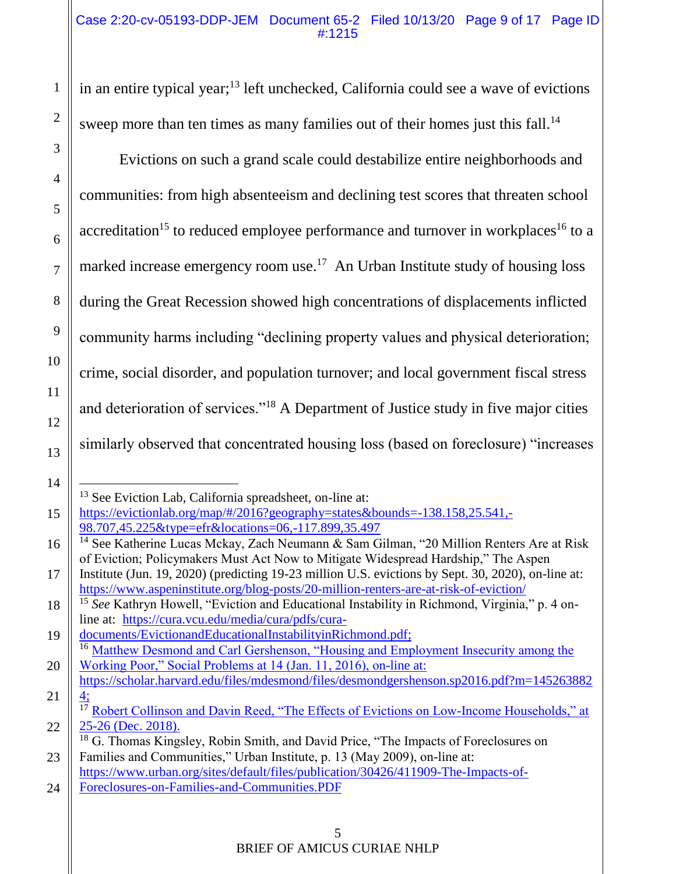in an entire typical year;<sup>13</sup> left unchecked, California could see a wave of evictions sweep more than ten times as many families out of their homes just this fall.<sup>14</sup>

Evictions on such a grand scale could destabilize entire neighborhoods and communities: from high absenteeism and declining test scores that threaten school accreditation<sup>15</sup> to reduced employee performance and turnover in workplaces<sup>16</sup> to a marked increase emergency room use.<sup>17</sup> An Urban Institute study of housing loss during the Great Recession showed high concentrations of displacements inflicted community harms including "declining property values and physical deterioration; crime, social disorder, and population turnover; and local government fiscal stress and deterioration of services."<sup>18</sup> A Department of Justice study in five major cities similarly observed that concentrated housing loss (based on foreclosure) "increases

<sup>13</sup> See Eviction Lab, California spreadsheet, on-line at:

[https://evictionlab.org/map/#/2016?geography=states&bounds=-138.158,25.541,-](https://evictionlab.org/map/#/2016?geography=states&bounds=-138.158,25.541,-98.707,45.225&type=efr&locations=06,-117.899,35.497) [98.707,45.225&type=efr&locations=06,-117.899,35.497](https://evictionlab.org/map/#/2016?geography=states&bounds=-138.158,25.541,-98.707,45.225&type=efr&locations=06,-117.899,35.497)

<sup>&</sup>lt;sup>14</sup> See Katherine Lucas Mckay, Zach Neumann & Sam Gilman, "20 Million Renters Are at Risk of Eviction; Policymakers Must Act Now to Mitigate Widespread Hardship," The Aspen

Institute (Jun. 19, 2020) (predicting 19-23 million U.S. evictions by Sept. 30, 2020), on-line at: <https://www.aspeninstitute.org/blog-posts/20-million-renters-are-at-risk-of-eviction/>

<sup>15</sup> *See* Kathryn Howell, "Eviction and Educational Instability in Richmond, Virginia," p. 4 online at: [https://cura.vcu.edu/media/cura/pdfs/cura-](https://cura.vcu.edu/media/cura/pdfs/cura-documents/EvictionandEducationalInstabilityinRichmond.pdf)

[documents/EvictionandEducationalInstabilityinRichmond.pdf;](https://cura.vcu.edu/media/cura/pdfs/cura-documents/EvictionandEducationalInstabilityinRichmond.pdf) <sup>16</sup> Matthew Desmond and Carl Gershenson, "Housing and Employment Insecurity among the Working Poor," Social Problems at 14 (Jan. 11, 2016), on-line at:

[https://scholar.harvard.edu/files/mdesmond/files/desmondgershenson.sp2016.pdf?m=145263882](https://scholar.harvard.edu/files/mdesmond/files/desmondgershenson.sp2016.pdf?m=1452638824) [4;](https://scholar.harvard.edu/files/mdesmond/files/desmondgershenson.sp2016.pdf?m=1452638824)

 $\overline{17}$  Robert Collinson and Davin Reed, "The Effects of Evictions on Low-Income Households," at 25-26 (Dec. 2018).

<sup>&</sup>lt;sup>18</sup> G. Thomas Kingsley, Robin Smith, and David Price, "The Impacts of Foreclosures on Families and Communities," Urban Institute, p. 13 (May 2009), on-line at: [https://www.urban.org/sites/default/files/publication/30426/411909-The-Impacts-of-](https://www.urban.org/sites/default/files/publication/30426/411909-The-Impacts-of-Foreclosures-on-Families-and-Communities.PDF)

<sup>24</sup> [Foreclosures-on-Families-and-Communities.PDF](https://www.urban.org/sites/default/files/publication/30426/411909-The-Impacts-of-Foreclosures-on-Families-and-Communities.PDF)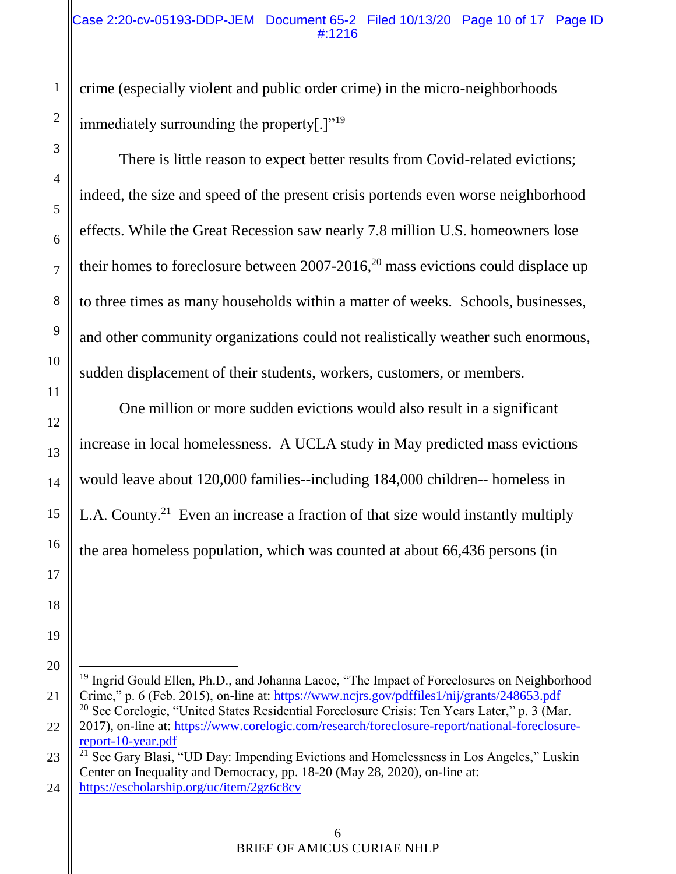crime (especially violent and public order crime) in the micro-neighborhoods immediately surrounding the property[.]"<sup>19</sup>

There is little reason to expect better results from Covid-related evictions; indeed, the size and speed of the present crisis portends even worse neighborhood effects. While the Great Recession saw nearly 7.8 million U.S. homeowners lose their homes to foreclosure between  $2007-2016$ ,<sup>20</sup> mass evictions could displace up to three times as many households within a matter of weeks. Schools, businesses, and other community organizations could not realistically weather such enormous, sudden displacement of their students, workers, customers, or members.

One million or more sudden evictions would also result in a significant increase in local homelessness. A UCLA study in May predicted mass evictions would leave about 120,000 families--including 184,000 children-- homeless in L.A. County.<sup>21</sup> Even an increase a fraction of that size would instantly multiply the area homeless population, which was counted at about 66,436 persons (in

<sup>&</sup>lt;sup>19</sup> Ingrid Gould Ellen, Ph.D., and Johanna Lacoe, "The Impact of Foreclosures on Neighborhood Crime," p. 6 (Feb. 2015), on-line at:<https://www.ncjrs.gov/pdffiles1/nij/grants/248653.pdf> <sup>20</sup> See Corelogic, "United States Residential Foreclosure Crisis: Ten Years Later," p. 3 (Mar. 2017), on-line at: [https://www.corelogic.com/research/foreclosure-report/national-foreclosure](https://www.corelogic.com/research/foreclosure-report/national-foreclosure-report-10-year.pdf)[report-10-year.pdf](https://www.corelogic.com/research/foreclosure-report/national-foreclosure-report-10-year.pdf) <sup>21</sup> See Gary Blasi, "UD Day: Impending Evictions and Homelessness in Los Angeles," Luskin

Center on Inequality and Democracy, pp. 18-20 (May 28, 2020), on-line at: <https://escholarship.org/uc/item/2gz6c8cv>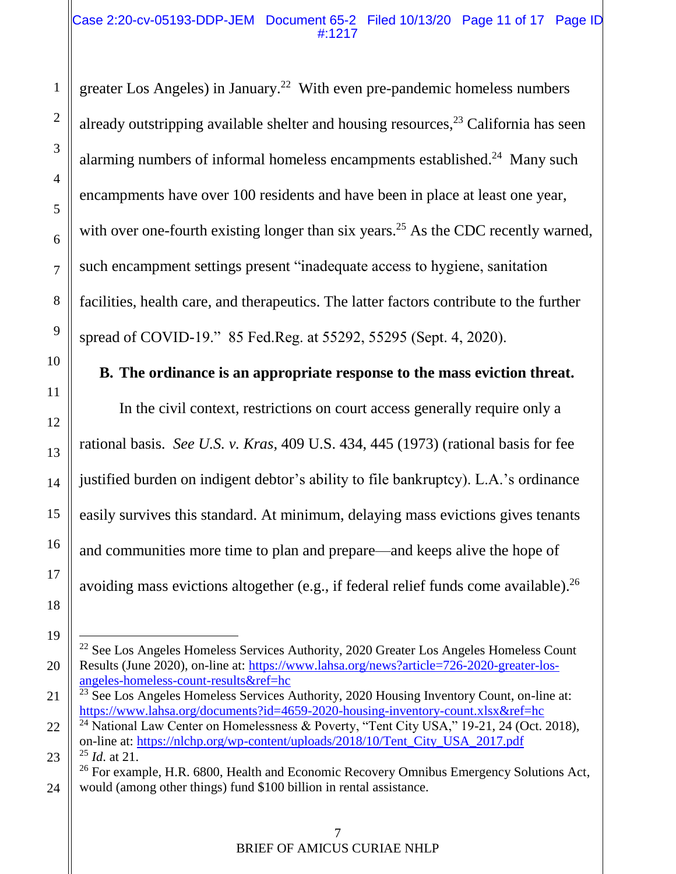#### Case 2:20-cv-05193-DDP-JEM Document 65-2 Filed 10/13/20 Page 11 of 17 Page ID #:1217

greater Los Angeles) in January.<sup>22</sup> With even pre-pandemic homeless numbers already outstripping available shelter and housing resources,  $2<sup>3</sup>$  California has seen alarming numbers of informal homeless encampments established.<sup>24</sup> Many such encampments have over 100 residents and have been in place at least one year, with over one-fourth existing longer than six years.<sup>25</sup> As the CDC recently warned, such encampment settings present "inadequate access to hygiene, sanitation facilities, health care, and therapeutics. The latter factors contribute to the further spread of COVID-19." 85 Fed.Reg. at 55292, 55295 (Sept. 4, 2020).

## **B. The ordinance is an appropriate response to the mass eviction threat.**

In the civil context, restrictions on court access generally require only a rational basis. *See U.S. v. Kras,* 409 U.S. 434, 445 (1973) (rational basis for fee justified burden on indigent debtor's ability to file bankruptcy). L.A.'s ordinance easily survives this standard. At minimum, delaying mass evictions gives tenants and communities more time to plan and prepare—and keeps alive the hope of avoiding mass evictions altogether (e.g., if federal relief funds come available).<sup>26</sup>

<sup>&</sup>lt;sup>22</sup> See Los Angeles Homeless Services Authority, 2020 Greater Los Angeles Homeless Count Results (June 2020), on-line at: [https://www.lahsa.org/news?article=726-2020-greater-los](https://www.lahsa.org/news?article=726-2020-greater-los-angeles-homeless-count-results&ref=hc)[angeles-homeless-count-results&ref=hc](https://www.lahsa.org/news?article=726-2020-greater-los-angeles-homeless-count-results&ref=hc)

<sup>&</sup>lt;sup>23</sup> See Los Angeles Homeless Services Authority, 2020 Housing Inventory Count, on-line at: <https://www.lahsa.org/documents?id=4659-2020-housing-inventory-count.xlsx&ref=hc>

<sup>&</sup>lt;sup>24</sup> National Law Center on Homelessness & Poverty, "Tent City USA," 19-21, 24 (Oct. 2018), on-line at: [https://nlchp.org/wp-content/uploads/2018/10/Tent\\_City\\_USA\\_2017.pdf](https://nlchp.org/wp-content/uploads/2018/10/Tent_City_USA_2017.pdf) <sup>25</sup> *Id*. at 21.

<sup>&</sup>lt;sup>26</sup> For example, H.R. 6800, Health and Economic Recovery Omnibus Emergency Solutions Act, would (among other things) fund \$100 billion in rental assistance.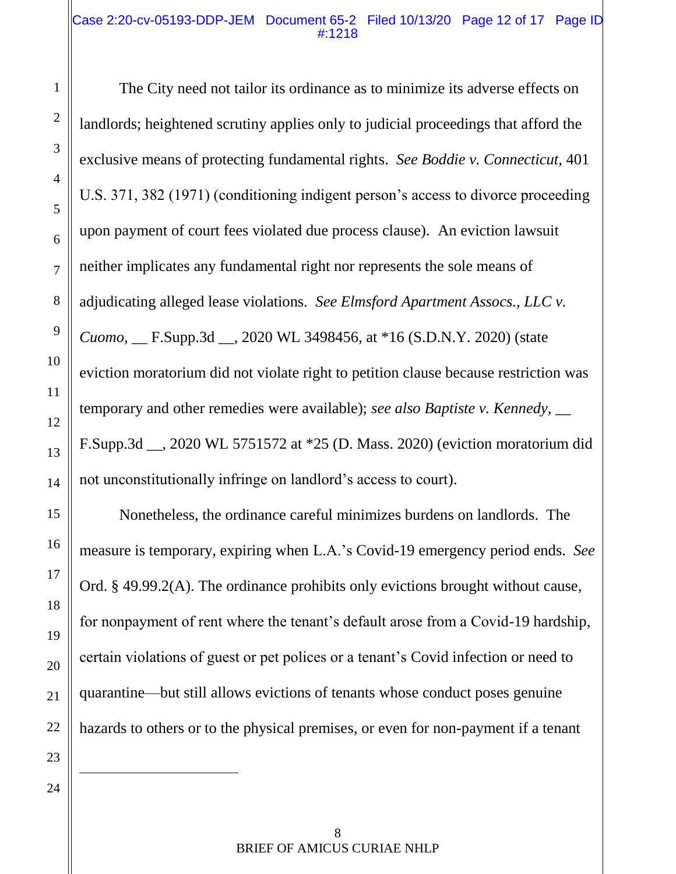#### Case 2:20-cv-05193-DDP-JEM Document 65-2 Filed 10/13/20 Page 12 of 17 Page ID #:1218

The City need not tailor its ordinance as to minimize its adverse effects on landlords; heightened scrutiny applies only to judicial proceedings that afford the exclusive means of protecting fundamental rights. *See Boddie v. Connecticut,* 401 U.S. 371, 382 (1971) (conditioning indigent person's access to divorce proceeding upon payment of court fees violated due process clause). An eviction lawsuit neither implicates any fundamental right nor represents the sole means of adjudicating alleged lease violations. *See Elmsford Apartment Assocs., LLC v. Cuomo,* \_\_ F.Supp.3d \_\_, 2020 WL 3498456, at \*16 (S.D.N.Y. 2020) (state eviction moratorium did not violate right to petition clause because restriction was temporary and other remedies were available); *see also Baptiste v. Kennedy,* \_\_ F.Supp.3d \_\_, 2020 WL 5751572 at \*25 (D. Mass. 2020) (eviction moratorium did not unconstitutionally infringe on landlord's access to court).

Nonetheless, the ordinance careful minimizes burdens on landlords. The measure is temporary, expiring when L.A.'s Covid-19 emergency period ends. *See* Ord. § 49.99.2(A). The ordinance prohibits only evictions brought without cause, for nonpayment of rent where the tenant's default arose from a Covid-19 hardship, certain violations of guest or pet polices or a tenant's Covid infection or need to quarantine—but still allows evictions of tenants whose conduct poses genuine hazards to others or to the physical premises, or even for non-payment if a tenant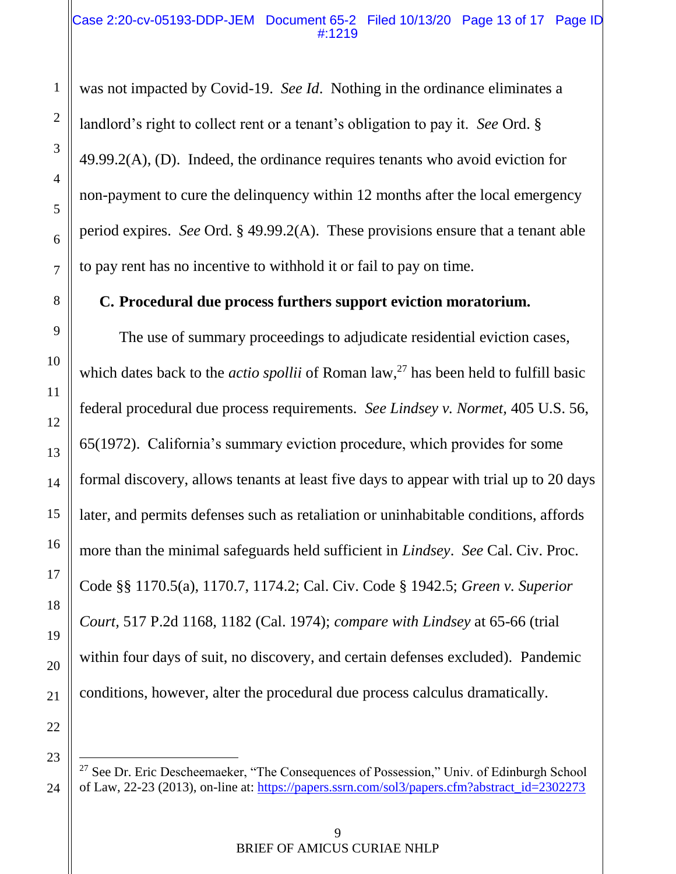was not impacted by Covid-19. *See Id*. Nothing in the ordinance eliminates a landlord's right to collect rent or a tenant's obligation to pay it. *See* Ord. §  $49.99.2(A)$ , (D). Indeed, the ordinance requires tenants who avoid eviction for non-payment to cure the delinquency within 12 months after the local emergency period expires. *See* Ord. § 49.99.2(A). These provisions ensure that a tenant able to pay rent has no incentive to withhold it or fail to pay on time.

### **C. Procedural due process furthers support eviction moratorium.**

The use of summary proceedings to adjudicate residential eviction cases, which dates back to the *actio spollii* of Roman law,<sup>27</sup> has been held to fulfill basic federal procedural due process requirements. *See Lindsey v. Normet,* 405 U.S. 56, 65(1972). California's summary eviction procedure, which provides for some formal discovery, allows tenants at least five days to appear with trial up to 20 days later, and permits defenses such as retaliation or uninhabitable conditions, affords more than the minimal safeguards held sufficient in *Lindsey*. *See* Cal. Civ. Proc. Code §§ 1170.5(a), 1170.7, 1174.2; Cal. Civ. Code § 1942.5; *Green v. Superior Court,* 517 P.2d 1168, 1182 (Cal. 1974); *compare with Lindsey* at 65-66 (trial within four days of suit, no discovery, and certain defenses excluded). Pandemic conditions, however, alter the procedural due process calculus dramatically.

23

 $27$  See Dr. Eric Descheemaeker, "The Consequences of Possession," Univ. of Edinburgh School of Law, 22-23 (2013), on-line at: [https://papers.ssrn.com/sol3/papers.cfm?abstract\\_id=2302273](https://papers.ssrn.com/sol3/papers.cfm?abstract_id=2302273)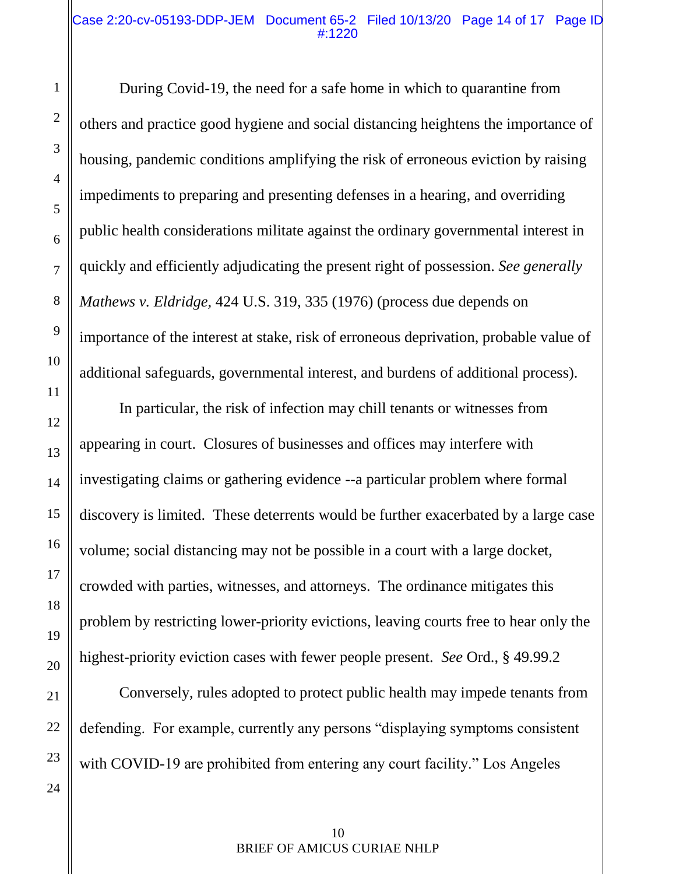#### Case 2:20-cv-05193-DDP-JEM Document 65-2 Filed 10/13/20 Page 14 of 17 Page ID #:1220

During Covid-19, the need for a safe home in which to quarantine from others and practice good hygiene and social distancing heightens the importance of housing, pandemic conditions amplifying the risk of erroneous eviction by raising impediments to preparing and presenting defenses in a hearing, and overriding public health considerations militate against the ordinary governmental interest in quickly and efficiently adjudicating the present right of possession. *See generally Mathews v. Eldridge,* 424 U.S. 319, 335 (1976) (process due depends on importance of the interest at stake, risk of erroneous deprivation, probable value of additional safeguards, governmental interest, and burdens of additional process).

In particular, the risk of infection may chill tenants or witnesses from appearing in court. Closures of businesses and offices may interfere with investigating claims or gathering evidence --a particular problem where formal discovery is limited. These deterrents would be further exacerbated by a large case volume; social distancing may not be possible in a court with a large docket, crowded with parties, witnesses, and attorneys. The ordinance mitigates this problem by restricting lower-priority evictions, leaving courts free to hear only the highest-priority eviction cases with fewer people present. *See* Ord., § 49.99.2

Conversely, rules adopted to protect public health may impede tenants from defending. For example, currently any persons "displaying symptoms consistent with COVID-19 are prohibited from entering any court facility." Los Angeles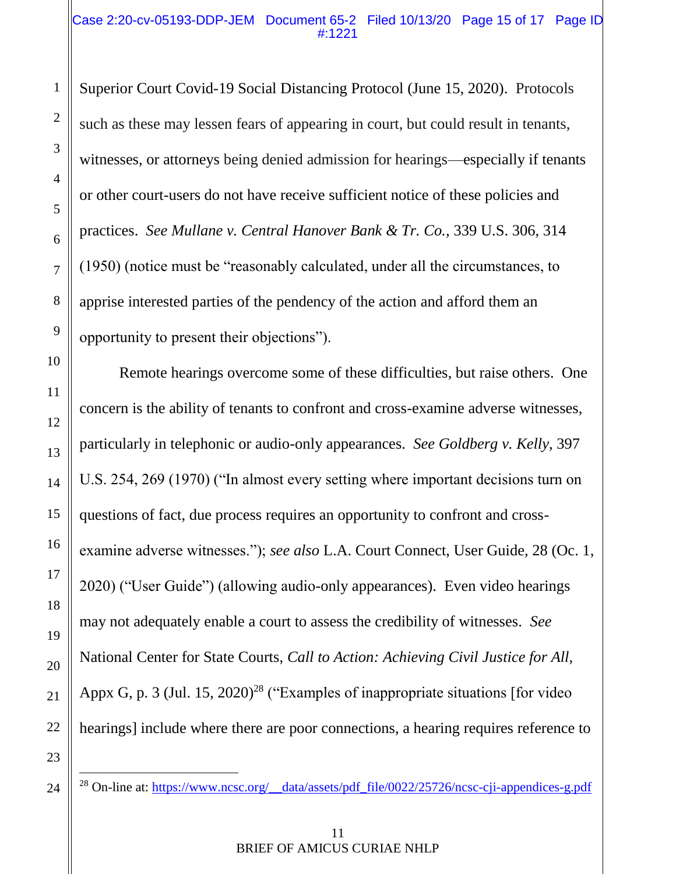Superior Court Covid-19 Social Distancing Protocol (June 15, 2020). Protocols such as these may lessen fears of appearing in court, but could result in tenants, witnesses, or attorneys being denied admission for hearings—especially if tenants or other court-users do not have receive sufficient notice of these policies and practices. *See Mullane v. Central Hanover Bank & Tr. Co.,* 339 U.S. 306, 314 (1950) (notice must be "reasonably calculated, under all the circumstances, to apprise interested parties of the pendency of the action and afford them an opportunity to present their objections").

Remote hearings overcome some of these difficulties, but raise others. One concern is the ability of tenants to confront and cross-examine adverse witnesses, particularly in telephonic or audio-only appearances. *See Goldberg v. Kelly*, 397 U.S. 254, 269 (1970) ("In almost every setting where important decisions turn on questions of fact, due process requires an opportunity to confront and crossexamine adverse witnesses."); *see also* L.A. Court Connect, User Guide, 28 (Oc. 1, 2020) ("User Guide") (allowing audio-only appearances). Even video hearings may not adequately enable a court to assess the credibility of witnesses. *See* National Center for State Courts, *Call to Action: Achieving Civil Justice for All,*  Appx G, p. 3 (Jul. 15, 2020)<sup>28</sup> ("Examples of inappropriate situations [for video] hearings] include where there are poor connections, a hearing requires reference to

<sup>&</sup>lt;sup>28</sup> On-line at: [https://www.ncsc.org/\\_\\_data/assets/pdf\\_file/0022/25726/ncsc-cji-appendices-g.pdf](https://www.ncsc.org/__data/assets/pdf_file/0022/25726/ncsc-cji-appendices-g.pdf)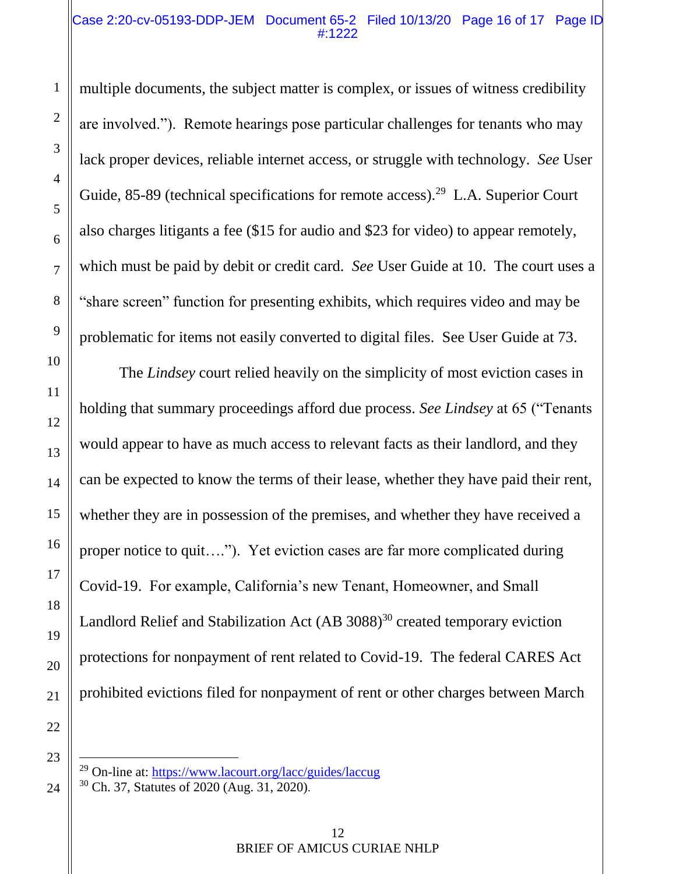#### Case 2:20-cv-05193-DDP-JEM Document 65-2 Filed 10/13/20 Page 16 of 17 Page ID #:1222

multiple documents, the subject matter is complex, or issues of witness credibility are involved."). Remote hearings pose particular challenges for tenants who may lack proper devices, reliable internet access, or struggle with technology. *See* User Guide, 85-89 (technical specifications for remote access).<sup>29</sup> L.A. Superior Court also charges litigants a fee (\$15 for audio and \$23 for video) to appear remotely, which must be paid by debit or credit card. *See* User Guide at 10. The court uses a "share screen" function for presenting exhibits, which requires video and may be problematic for items not easily converted to digital files. See User Guide at 73.

The *Lindsey* court relied heavily on the simplicity of most eviction cases in holding that summary proceedings afford due process. *See Lindsey* at 65 ("Tenants would appear to have as much access to relevant facts as their landlord, and they can be expected to know the terms of their lease, whether they have paid their rent, whether they are in possession of the premises, and whether they have received a proper notice to quit…."). Yet eviction cases are far more complicated during Covid-19. For example, California's new Tenant, Homeowner, and Small Landlord Relief and Stabilization Act (AB 3088)<sup>30</sup> created temporary eviction protections for nonpayment of rent related to Covid-19. The federal CARES Act prohibited evictions filed for nonpayment of rent or other charges between March

23

 $\overline{a}$ 

24

1

2

3

4

5

6

7

8

9

10

11

12

13

14

15

16

17

18

19

20

21

22

 $^{29}$  On-line at:<https://www.lacourt.org/lacc/guides/laccug>

<sup>30</sup> Ch. 37, Statutes of 2020 (Aug. 31, 2020).